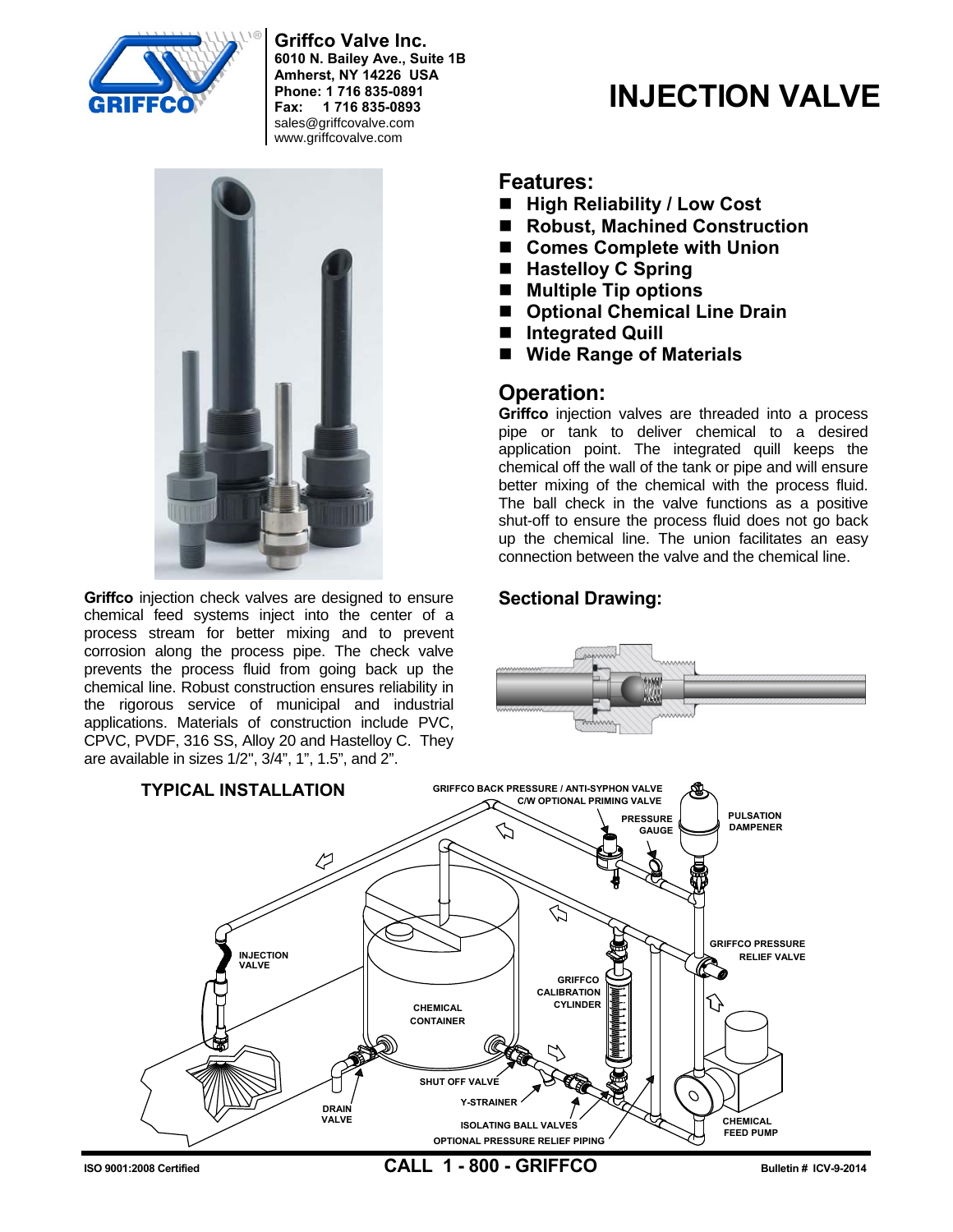

**Griffco Valve Inc. 6010 N. Bailey Ave., Suite 1B Amherst, NY 14226 USA Phone: 1 716 835-0891 Fax: 1 716 835-0893**  sales@griffcovalve.com www.griffcovalve.com



**Griffco** injection check valves are designed to ensure chemical feed systems inject into the center of a process stream for better mixing and to prevent corrosion along the process pipe. The check valve prevents the process fluid from going back up the chemical line. Robust construction ensures reliability in the rigorous service of municipal and industrial applications. Materials of construction include PVC, CPVC, PVDF, 316 SS, Alloy 20 and Hastelloy C. They are available in sizes 1/2", 3/4", 1", 1.5", and 2".

#### **Features:**

- High Reliability / Low Cost
- Robust, Machined Construction

**INJECTION VALVE**

- **Comes Complete with Union**
- Hastelloy C Spring
- **Multiple Tip options**
- Optional Chemical Line Drain
- **Integrated Quill**
- **Wide Range of Materials**

## **Operation:**

Griffco injection valves are threaded into a process pipe or tank to deliver chemical to a desired application point. The integrated quill keeps the chemical off the wall of the tank or pipe and will ensure better mixing of the chemical with the process fluid. The ball check in the valve functions as a positive shut-off to ensure the process fluid does not go back up the chemical line. The union facilitates an easy connection between the valve and the chemical line.

#### **Sectional Drawing:**





**ISO 9001:2008 Certified CALL 1 - 800 - GRIFFCO Bulletin # ICV-9-2014**